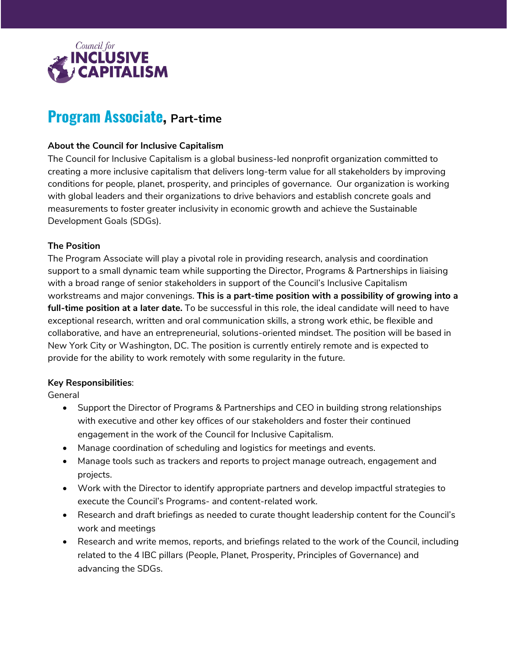

# **Program Associate, Part-time**

### **About the Council for Inclusive Capitalism**

The Council for Inclusive Capitalism is a global business-led nonprofit organization committed to creating a more inclusive capitalism that delivers long-term value for all stakeholders by improving conditions for people, planet, prosperity, and principles of governance. Our organization is working with global leaders and their organizations to drive behaviors and establish concrete goals and measurements to foster greater inclusivity in economic growth and achieve the Sustainable Development Goals (SDGs).

#### **The Position**

The Program Associate will play a pivotal role in providing research, analysis and coordination support to a small dynamic team while supporting the Director, Programs & Partnerships in liaising with a broad range of senior stakeholders in support of the Council's Inclusive Capitalism workstreams and major convenings. **This is a part-time position with a possibility of growing into a full-time position at a later date.** To be successful in this role, the ideal candidate will need to have exceptional research, written and oral communication skills, a strong work ethic, be flexible and collaborative, and have an entrepreneurial, solutions-oriented mindset. The position will be based in New York City or Washington, DC. The position is currently entirely remote and is expected to provide for the ability to work remotely with some regularity in the future.

## **Key Responsibilities**:

General

- Support the Director of Programs & Partnerships and CEO in building strong relationships with executive and other key offices of our stakeholders and foster their continued engagement in the work of the Council for Inclusive Capitalism.
- Manage coordination of scheduling and logistics for meetings and events.
- Manage tools such as trackers and reports to project manage outreach, engagement and projects.
- Work with the Director to identify appropriate partners and develop impactful strategies to execute the Council's Programs- and content-related work.
- Research and draft briefings as needed to curate thought leadership content for the Council's work and meetings
- Research and write memos, reports, and briefings related to the work of the Council, including related to the 4 IBC pillars (People, Planet, Prosperity, Principles of Governance) and advancing the SDGs.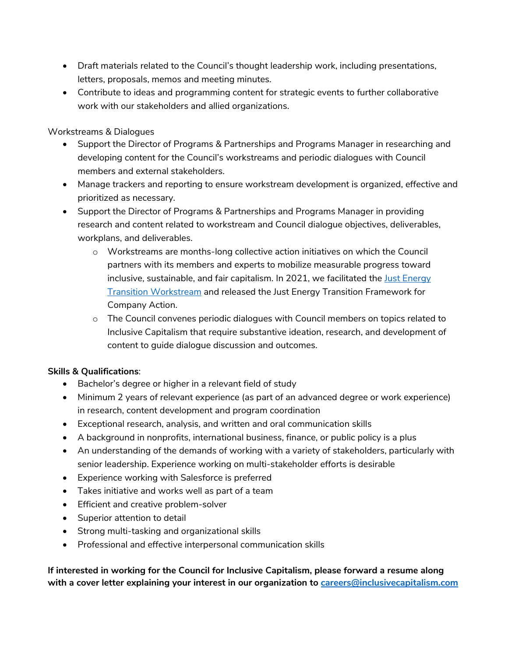- Draft materials related to the Council's thought leadership work, including presentations, letters, proposals, memos and meeting minutes.
- Contribute to ideas and programming content for strategic events to further collaborative work with our stakeholders and allied organizations.

Workstreams & Dialogues

- Support the Director of Programs & Partnerships and Programs Manager in researching and developing content for the Council's workstreams and periodic dialogues with Council members and external stakeholders.
- Manage trackers and reporting to ensure workstream development is organized, effective and prioritized as necessary.
- Support the Director of Programs & Partnerships and Programs Manager in providing research and content related to workstream and Council dialogue objectives, deliverables, workplans, and deliverables.
	- o Workstreams are months-long collective action initiatives on which the Council partners with its members and experts to mobilize measurable progress toward inclusive, sustainable, and fair capitalism. In 2021, we facilitated the [Just Energy](https://www.inclusivecapitalism.com/just-energy-transition-home/)  [Transition Workstream](https://www.inclusivecapitalism.com/just-energy-transition-home/) and released the Just Energy Transition Framework for Company Action.
	- o The Council convenes periodic dialogues with Council members on topics related to Inclusive Capitalism that require substantive ideation, research, and development of content to guide dialogue discussion and outcomes.

## **Skills & Qualifications**:

- Bachelor's degree or higher in a relevant field of study
- Minimum 2 years of relevant experience (as part of an advanced degree or work experience) in research, content development and program coordination
- Exceptional research, analysis, and written and oral communication skills
- A background in nonprofits, international business, finance, or public policy is a plus
- An understanding of the demands of working with a variety of stakeholders, particularly with senior leadership. Experience working on multi-stakeholder efforts is desirable
- Experience working with Salesforce is preferred
- Takes initiative and works well as part of a team
- Efficient and creative problem-solver
- Superior attention to detail
- Strong multi-tasking and organizational skills
- Professional and effective interpersonal communication skills

**If interested in working for the Council for Inclusive Capitalism, please forward a resume along with a cover letter explaining your interest in our organization to [careers@inclusivecapitalism.com](mailto:careers@inclusivecapitalism.com)**